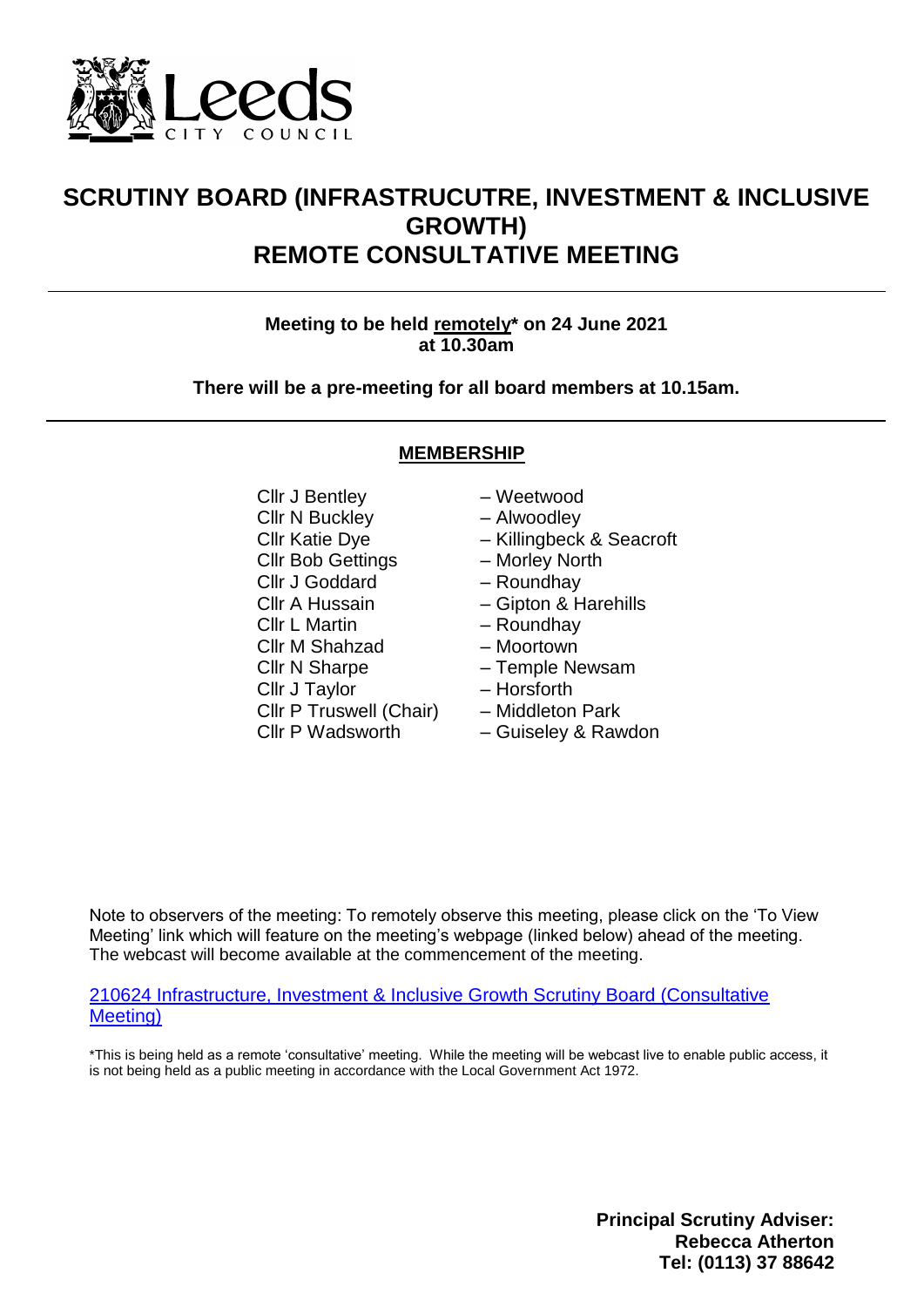

## **SCRUTINY BOARD (INFRASTRUCUTRE, INVESTMENT & INCLUSIVE GROWTH) REMOTE CONSULTATIVE MEETING**

**Meeting to be held remotely\* on 24 June 2021 at 10.30am**

**There will be a pre-meeting for all board members at 10.15am.** 

## **MEMBERSHIP**

Cllr J Bentley – Weetwood Cllr N Buckley – Alwoodley Cllr Katie Dye – Killingbeck & Seacroft Cllr Bob Gettings – Morley North Cllr J Goddard – Roundhay Cllr A Hussain – Gipton & Harehills Cllr L Martin – Roundhay Cllr M Shahzad – Moortown Cllr N Sharpe – Temple Newsam Cllr J Taylor – Horsforth Cllr P Truswell (Chair) – Middleton Park Cllr P Wadsworth – Guiseley & Rawdon

- 
- 
- 
- 
- 
- 
- 
- 
- 
- 
- 
- 

Note to observers of the meeting: To remotely observe this meeting, please click on the 'To View Meeting' link which will feature on the meeting's webpage (linked below) ahead of the meeting. The webcast will become available at the commencement of the meeting.

[210624 Infrastructure, Investment & Inclusive Growth Scrutiny Board \(Consultative](https://democracy.leeds.gov.uk/ieListDocuments.aspx?CId=1192&MId=11569)  [Meeting\)](https://democracy.leeds.gov.uk/ieListDocuments.aspx?CId=1192&MId=11569)

\*This is being held as a remote 'consultative' meeting. While the meeting will be webcast live to enable public access, it is not being held as a public meeting in accordance with the Local Government Act 1972.

> **Principal Scrutiny Adviser: Rebecca Atherton Tel: (0113) 37 88642**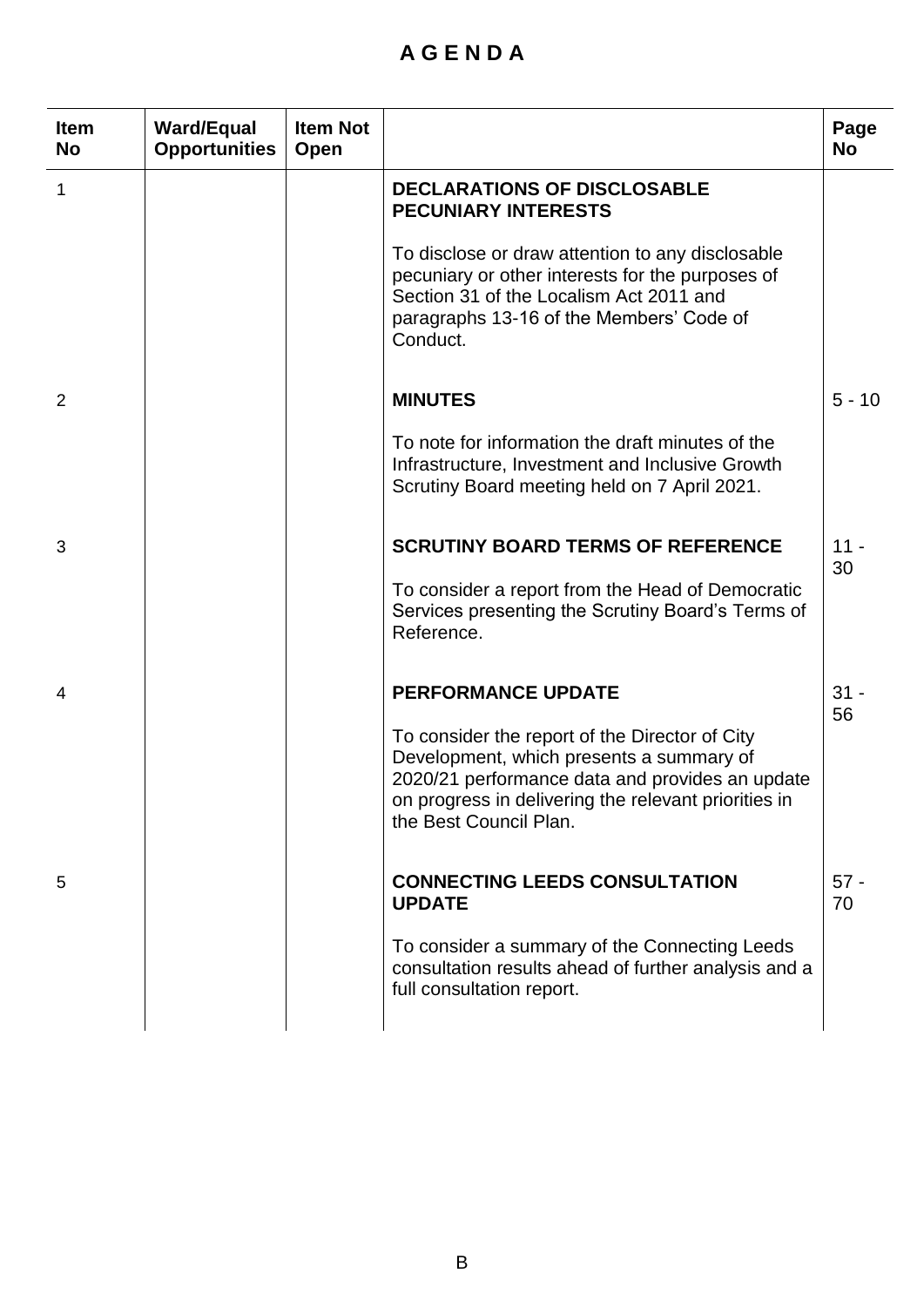## **A G E N D A**

| <b>Item</b><br><b>No</b> | <b>Ward/Equal</b><br><b>Opportunities</b> | <b>Item Not</b><br>Open |                                                                                                                                                                                                                                 | Page<br><b>No</b> |
|--------------------------|-------------------------------------------|-------------------------|---------------------------------------------------------------------------------------------------------------------------------------------------------------------------------------------------------------------------------|-------------------|
| 1                        |                                           |                         | <b>DECLARATIONS OF DISCLOSABLE</b><br><b>PECUNIARY INTERESTS</b>                                                                                                                                                                |                   |
|                          |                                           |                         | To disclose or draw attention to any disclosable<br>pecuniary or other interests for the purposes of<br>Section 31 of the Localism Act 2011 and<br>paragraphs 13-16 of the Members' Code of<br>Conduct.                         |                   |
| 2                        |                                           |                         | <b>MINUTES</b>                                                                                                                                                                                                                  | $5 - 10$          |
|                          |                                           |                         | To note for information the draft minutes of the<br>Infrastructure, Investment and Inclusive Growth<br>Scrutiny Board meeting held on 7 April 2021.                                                                             |                   |
| 3                        |                                           |                         | <b>SCRUTINY BOARD TERMS OF REFERENCE</b>                                                                                                                                                                                        | $11 -$<br>30      |
|                          |                                           |                         | To consider a report from the Head of Democratic<br>Services presenting the Scrutiny Board's Terms of<br>Reference.                                                                                                             |                   |
| 4                        |                                           |                         | <b>PERFORMANCE UPDATE</b>                                                                                                                                                                                                       | $31 -$<br>56      |
|                          |                                           |                         | To consider the report of the Director of City<br>Development, which presents a summary of<br>2020/21 performance data and provides an update<br>on progress in delivering the relevant priorities in<br>the Best Council Plan. |                   |
| 5                        |                                           |                         | <b>CONNECTING LEEDS CONSULTATION</b><br><b>UPDATE</b>                                                                                                                                                                           | $57 -$<br>70      |
|                          |                                           |                         | To consider a summary of the Connecting Leeds<br>consultation results ahead of further analysis and a<br>full consultation report.                                                                                              |                   |